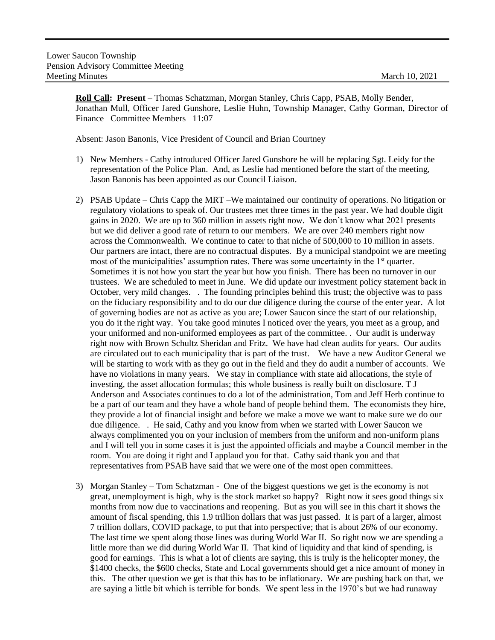**Roll Call: Present** – Thomas Schatzman, Morgan Stanley, Chris Capp, PSAB, Molly Bender, Jonathan Mull, Officer Jared Gunshore, Leslie Huhn, Township Manager, Cathy Gorman, Director of Finance Committee Members 11:07

Absent: Jason Banonis, Vice President of Council and Brian Courtney

- 1) New Members Cathy introduced Officer Jared Gunshore he will be replacing Sgt. Leidy for the representation of the Police Plan. And, as Leslie had mentioned before the start of the meeting, Jason Banonis has been appointed as our Council Liaison.
- 2) PSAB Update Chris Capp the MRT –We maintained our continuity of operations. No litigation or regulatory violations to speak of. Our trustees met three times in the past year. We had double digit gains in 2020. We are up to 360 million in assets right now. We don't know what 2021 presents but we did deliver a good rate of return to our members. We are over 240 members right now across the Commonwealth. We continue to cater to that niche of 500,000 to 10 million in assets. Our partners are intact, there are no contractual disputes. By a municipal standpoint we are meeting most of the municipalities' assumption rates. There was some uncertainty in the  $1<sup>st</sup>$  quarter. Sometimes it is not how you start the year but how you finish. There has been no turnover in our trustees. We are scheduled to meet in June. We did update our investment policy statement back in October, very mild changes. . The founding principles behind this trust; the objective was to pass on the fiduciary responsibility and to do our due diligence during the course of the enter year. A lot of governing bodies are not as active as you are; Lower Saucon since the start of our relationship, you do it the right way. You take good minutes I noticed over the years, you meet as a group, and your uniformed and non-uniformed employees as part of the committee. . Our audit is underway right now with Brown Schultz Sheridan and Fritz. We have had clean audits for years. Our audits are circulated out to each municipality that is part of the trust. We have a new Auditor General we will be starting to work with as they go out in the field and they do audit a number of accounts. We have no violations in many years. We stay in compliance with state aid allocations, the style of investing, the asset allocation formulas; this whole business is really built on disclosure. T J Anderson and Associates continues to do a lot of the administration, Tom and Jeff Herb continue to be a part of our team and they have a whole band of people behind them. The economists they hire, they provide a lot of financial insight and before we make a move we want to make sure we do our due diligence. . He said, Cathy and you know from when we started with Lower Saucon we always complimented you on your inclusion of members from the uniform and non-uniform plans and I will tell you in some cases it is just the appointed officials and maybe a Council member in the room. You are doing it right and I applaud you for that. Cathy said thank you and that representatives from PSAB have said that we were one of the most open committees.
- 3) Morgan Stanley Tom Schatzman One of the biggest questions we get is the economy is not great, unemployment is high, why is the stock market so happy? Right now it sees good things six months from now due to vaccinations and reopening. But as you will see in this chart it shows the amount of fiscal spending, this 1.9 trillion dollars that was just passed. It is part of a larger, almost 7 trillion dollars, COVID package, to put that into perspective; that is about 26% of our economy. The last time we spent along those lines was during World War II. So right now we are spending a little more than we did during World War II. That kind of liquidity and that kind of spending, is good for earnings. This is what a lot of clients are saying, this is truly is the helicopter money, the \$1400 checks, the \$600 checks, State and Local governments should get a nice amount of money in this. The other question we get is that this has to be inflationary. We are pushing back on that, we are saying a little bit which is terrible for bonds. We spent less in the 1970's but we had runaway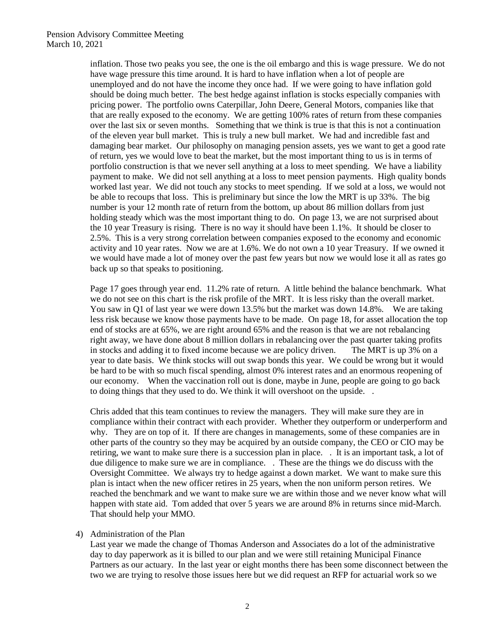## Pension Advisory Committee Meeting March 10, 2021

inflation. Those two peaks you see, the one is the oil embargo and this is wage pressure. We do not have wage pressure this time around. It is hard to have inflation when a lot of people are unemployed and do not have the income they once had. If we were going to have inflation gold should be doing much better. The best hedge against inflation is stocks especially companies with pricing power. The portfolio owns Caterpillar, John Deere, General Motors, companies like that that are really exposed to the economy. We are getting 100% rates of return from these companies over the last six or seven months. Something that we think is true is that this is not a continuation of the eleven year bull market. This is truly a new bull market. We had and incredible fast and damaging bear market. Our philosophy on managing pension assets, yes we want to get a good rate of return, yes we would love to beat the market, but the most important thing to us is in terms of portfolio construction is that we never sell anything at a loss to meet spending. We have a liability payment to make. We did not sell anything at a loss to meet pension payments. High quality bonds worked last year. We did not touch any stocks to meet spending. If we sold at a loss, we would not be able to recoups that loss. This is preliminary but since the low the MRT is up 33%. The big number is your 12 month rate of return from the bottom, up about 86 million dollars from just holding steady which was the most important thing to do. On page 13, we are not surprised about the 10 year Treasury is rising. There is no way it should have been 1.1%. It should be closer to 2.5%. This is a very strong correlation between companies exposed to the economy and economic activity and 10 year rates. Now we are at 1.6%. We do not own a 10 year Treasury. If we owned it we would have made a lot of money over the past few years but now we would lose it all as rates go back up so that speaks to positioning.

Page 17 goes through year end. 11.2% rate of return. A little behind the balance benchmark. What we do not see on this chart is the risk profile of the MRT. It is less risky than the overall market. You saw in Q1 of last year we were down 13.5% but the market was down 14.8%. We are taking less risk because we know those payments have to be made. On page 18, for asset allocation the top end of stocks are at 65%, we are right around 65% and the reason is that we are not rebalancing right away, we have done about 8 million dollars in rebalancing over the past quarter taking profits in stocks and adding it to fixed income because we are policy driven. The MRT is up 3% on a year to date basis. We think stocks will out swap bonds this year. We could be wrong but it would be hard to be with so much fiscal spending, almost 0% interest rates and an enormous reopening of our economy. When the vaccination roll out is done, maybe in June, people are going to go back to doing things that they used to do. We think it will overshoot on the upside. .

Chris added that this team continues to review the managers. They will make sure they are in compliance within their contract with each provider. Whether they outperform or underperform and why. They are on top of it. If there are changes in managements, some of these companies are in other parts of the country so they may be acquired by an outside company, the CEO or CIO may be retiring, we want to make sure there is a succession plan in place. . It is an important task, a lot of due diligence to make sure we are in compliance. . These are the things we do discuss with the Oversight Committee. We always try to hedge against a down market. We want to make sure this plan is intact when the new officer retires in 25 years, when the non uniform person retires. We reached the benchmark and we want to make sure we are within those and we never know what will happen with state aid. Tom added that over 5 years we are around 8% in returns since mid-March. That should help your MMO.

## 4) Administration of the Plan

Last year we made the change of Thomas Anderson and Associates do a lot of the administrative day to day paperwork as it is billed to our plan and we were still retaining Municipal Finance Partners as our actuary. In the last year or eight months there has been some disconnect between the two we are trying to resolve those issues here but we did request an RFP for actuarial work so we